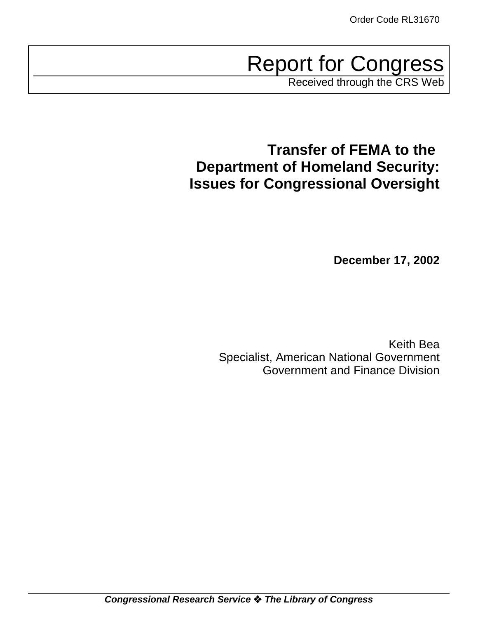Report for Congress

Received through the CRS Web

# **Transfer of FEMA to the Department of Homeland Security: Issues for Congressional Oversight**

**December 17, 2002**

Keith Bea Specialist, American National Government Government and Finance Division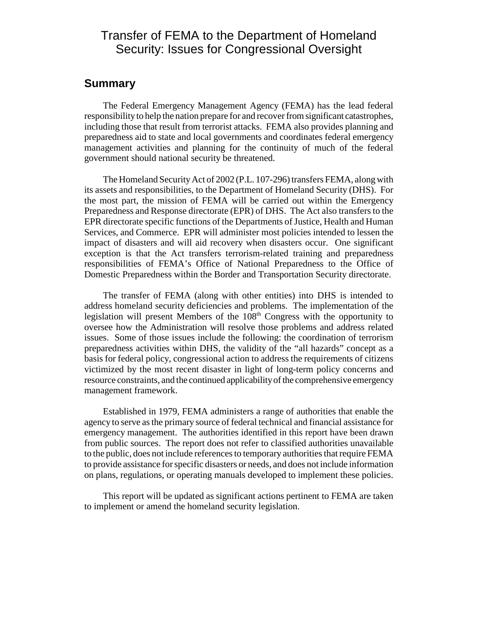# Transfer of FEMA to the Department of Homeland Security: Issues for Congressional Oversight

## **Summary**

The Federal Emergency Management Agency (FEMA) has the lead federal responsibility to help the nation prepare for and recover from significant catastrophes, including those that result from terrorist attacks. FEMA also provides planning and preparedness aid to state and local governments and coordinates federal emergency management activities and planning for the continuity of much of the federal government should national security be threatened.

The Homeland Security Act of 2002 (P.L. 107-296) transfers FEMA, along with its assets and responsibilities, to the Department of Homeland Security (DHS). For the most part, the mission of FEMA will be carried out within the Emergency Preparedness and Response directorate (EPR) of DHS. The Act also transfers to the EPR directorate specific functions of the Departments of Justice, Health and Human Services, and Commerce. EPR will administer most policies intended to lessen the impact of disasters and will aid recovery when disasters occur. One significant exception is that the Act transfers terrorism-related training and preparedness responsibilities of FEMA's Office of National Preparedness to the Office of Domestic Preparedness within the Border and Transportation Security directorate.

The transfer of FEMA (along with other entities) into DHS is intended to address homeland security deficiencies and problems. The implementation of the legislation will present Members of the  $108<sup>th</sup>$  Congress with the opportunity to oversee how the Administration will resolve those problems and address related issues. Some of those issues include the following: the coordination of terrorism preparedness activities within DHS, the validity of the "all hazards" concept as a basis for federal policy, congressional action to address the requirements of citizens victimized by the most recent disaster in light of long-term policy concerns and resource constraints, and the continued applicability of the comprehensive emergency management framework.

Established in 1979, FEMA administers a range of authorities that enable the agency to serve as the primary source of federal technical and financial assistance for emergency management. The authorities identified in this report have been drawn from public sources. The report does not refer to classified authorities unavailable to the public, does not include references to temporary authorities that require FEMA to provide assistance for specific disasters or needs, and does not include information on plans, regulations, or operating manuals developed to implement these policies.

This report will be updated as significant actions pertinent to FEMA are taken to implement or amend the homeland security legislation.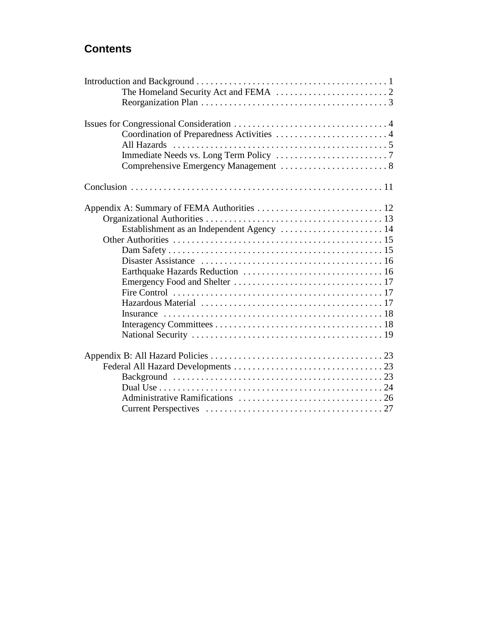# **Contents**

| Establishment as an Independent Agency  14 |
|--------------------------------------------|
|                                            |
|                                            |
|                                            |
|                                            |
|                                            |
|                                            |
|                                            |
|                                            |
|                                            |
|                                            |
|                                            |
|                                            |
|                                            |
|                                            |
|                                            |
|                                            |
|                                            |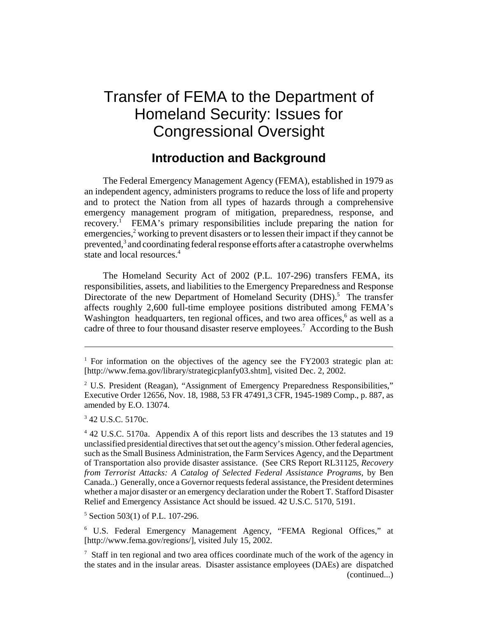# Transfer of FEMA to the Department of Homeland Security: Issues for Congressional Oversight

# **Introduction and Background**

The Federal Emergency Management Agency (FEMA), established in 1979 as an independent agency, administers programs to reduce the loss of life and property and to protect the Nation from all types of hazards through a comprehensive emergency management program of mitigation, preparedness, response, and recovery.<sup>1</sup> FEMA's primary responsibilities include preparing the nation for emergencies, $2$  working to prevent disasters or to lessen their impact if they cannot be prevented,<sup>3</sup> and coordinating federal response efforts after a catastrophe overwhelms state and local resources.<sup>4</sup>

The Homeland Security Act of 2002 (P.L. 107-296) transfers FEMA, its responsibilities, assets, and liabilities to the Emergency Preparedness and Response Directorate of the new Department of Homeland Security (DHS).<sup>5</sup> The transfer affects roughly 2,600 full-time employee positions distributed among FEMA's Washington headquarters, ten regional offices, and two area offices,<sup>6</sup> as well as a cadre of three to four thousand disaster reserve employees.<sup>7</sup> According to the Bush

3 42 U.S.C. 5170c.

<sup>5</sup> Section 503(1) of P.L. 107-296.

6 U.S. Federal Emergency Management Agency, "FEMA Regional Offices," at [http://www.fema.gov/regions/], visited July 15, 2002.

<sup>&</sup>lt;sup>1</sup> For information on the objectives of the agency see the FY2003 strategic plan at: [http://www.fema.gov/library/strategicplanfy03.shtm], visited Dec. 2, 2002.

<sup>&</sup>lt;sup>2</sup> U.S. President (Reagan), "Assignment of Emergency Preparedness Responsibilities," Executive Order 12656, Nov. 18, 1988, 53 FR 47491,3 CFR, 1945-1989 Comp., p. 887, as amended by E.O. 13074.

<sup>&</sup>lt;sup>4</sup> 42 U.S.C. 5170a. Appendix A of this report lists and describes the 13 statutes and 19 unclassified presidential directives that set out the agency's mission. Other federal agencies, such as the Small Business Administration, the Farm Services Agency, and the Department of Transportation also provide disaster assistance. (See CRS Report RL31125, *Recovery from Terrorist Attacks: A Catalog of Selected Federal Assistance Programs*, by Ben Canada..) Generally, once a Governor requests federal assistance, the President determines whether a major disaster or an emergency declaration under the Robert T. Stafford Disaster Relief and Emergency Assistance Act should be issued. 42 U.S.C. 5170, 5191.

<sup>&</sup>lt;sup>7</sup> Staff in ten regional and two area offices coordinate much of the work of the agency in the states and in the insular areas. Disaster assistance employees (DAEs) are dispatched (continued...)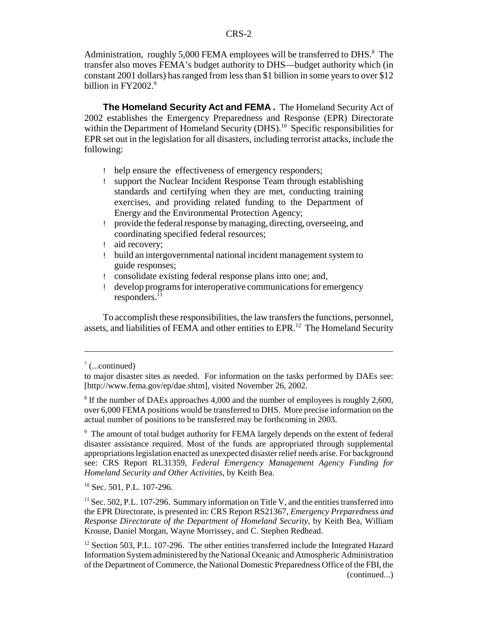Administration, roughly 5,000 FEMA employees will be transferred to DHS. $8$  The transfer also moves FEMA's budget authority to DHS—budget authority which (in constant 2001 dollars) has ranged from less than \$1 billion in some years to over \$12 billion in  $FY2002.<sup>9</sup>$ 

**The Homeland Security Act and FEMA .** The Homeland Security Act of 2002 establishes the Emergency Preparedness and Response (EPR) Directorate within the Department of Homeland Security  $(DHS)$ .<sup>10</sup> Specific responsibilities for EPR set out in the legislation for all disasters, including terrorist attacks, include the following:

- ! help ensure the effectiveness of emergency responders;
- ! support the Nuclear Incident Response Team through establishing standards and certifying when they are met, conducting training exercises, and providing related funding to the Department of Energy and the Environmental Protection Agency;
- ! provide the federal response by managing, directing, overseeing, and coordinating specified federal resources;
- ! aid recovery;
- ! build an intergovernmental national incident management system to guide responses;
- ! consolidate existing federal response plans into one; and,
- ! develop programs for interoperative communications for emergency responders.<sup>11</sup>

To accomplish these responsibilities, the law transfers the functions, personnel, assets, and liabilities of FEMA and other entities to EPR.12 The Homeland Security

10 Sec. 501, P.L. 107-296.

 $7$  (...continued)

to major disaster sites as needed. For information on the tasks performed by DAEs see: [http://www.fema.gov/ep/dae.shtm], visited November 26, 2002.

<sup>&</sup>lt;sup>8</sup> If the number of DAEs approaches 4,000 and the number of employees is roughly 2,600, over 6,000 FEMA positions would be transferred to DHS. More precise information on the actual number of positions to be transferred may be forthcoming in 2003.

<sup>&</sup>lt;sup>9</sup> The amount of total budget authority for FEMA largely depends on the extent of federal disaster assistance required. Most of the funds are appropriated through supplemental appropriations legislation enacted as unexpected disaster relief needs arise. For background see: CRS Report RL31359, *Federal Emergency Management Agency Funding for Homeland Security and Other Activities*, by Keith Bea.

<sup>&</sup>lt;sup>11</sup> Sec. 502, P.L. 107-296. Summary information on Title V, and the entities transferred into the EPR Directorate, is presented in: CRS Report RS21367, *Emergency Preparedness and Response Directorate of the Department of Homeland Security*, by Keith Bea, William Krouse, Daniel Morgan, Wayne Morrissey, and C. Stephen Redhead.

 $12$  Section 503, P.L. 107-296. The other entities transferred include the Integrated Hazard Information System administered by the National Oceanic and Atmospheric Administration of the Department of Commerce, the National Domestic Preparedness Office of the FBI, the (continued...)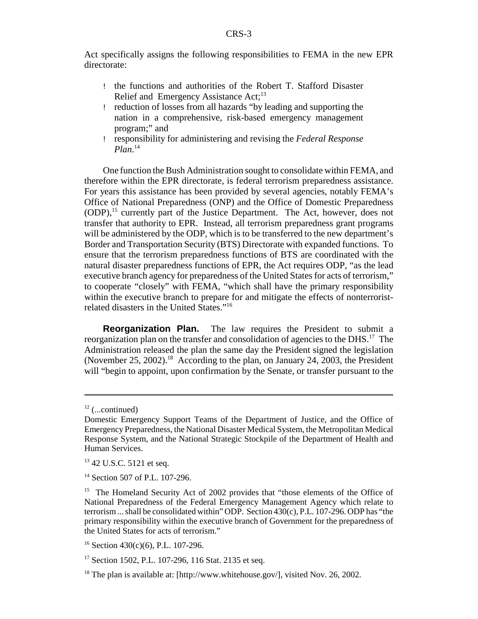Act specifically assigns the following responsibilities to FEMA in the new EPR directorate:

- ! the functions and authorities of the Robert T. Stafford Disaster Relief and Emergency Assistance Act;<sup>13</sup>
- ! reduction of losses from all hazards "by leading and supporting the nation in a comprehensive, risk-based emergency management program;" and
- ! responsibility for administering and revising the *Federal Response Plan*. 14

One function the Bush Administration sought to consolidate within FEMA, and therefore within the EPR directorate, is federal terrorism preparedness assistance. For years this assistance has been provided by several agencies, notably FEMA's Office of National Preparedness (ONP) and the Office of Domestic Preparedness (ODP),15 currently part of the Justice Department. The Act, however, does not transfer that authority to EPR. Instead, all terrorism preparedness grant programs will be administered by the ODP, which is to be transferred to the new department's Border and Transportation Security (BTS) Directorate with expanded functions. To ensure that the terrorism preparedness functions of BTS are coordinated with the natural disaster preparedness functions of EPR, the Act requires ODP, "as the lead executive branch agency for preparedness of the United States for acts of terrorism," to cooperate "closely" with FEMA, "which shall have the primary responsibility within the executive branch to prepare for and mitigate the effects of nonterroristrelated disasters in the United States."16

**Reorganization Plan.** The law requires the President to submit a reorganization plan on the transfer and consolidation of agencies to the DHS.<sup>17</sup> The Administration released the plan the same day the President signed the legislation (November 25, 2002).<sup>18</sup> According to the plan, on January 24, 2003, the President will "begin to appoint, upon confirmation by the Senate, or transfer pursuant to the

 $12$  (...continued)

Domestic Emergency Support Teams of the Department of Justice, and the Office of Emergency Preparedness, the National Disaster Medical System, the Metropolitan Medical Response System, and the National Strategic Stockpile of the Department of Health and Human Services.

<sup>&</sup>lt;sup>13</sup> 42 U.S.C. 5121 et seq.

<sup>&</sup>lt;sup>14</sup> Section 507 of P.L. 107-296.

<sup>&</sup>lt;sup>15</sup> The Homeland Security Act of 2002 provides that "those elements of the Office of National Preparedness of the Federal Emergency Management Agency which relate to terrorism ... shall be consolidated within" ODP. Section 430(c), P.L. 107-296. ODP has "the primary responsibility within the executive branch of Government for the preparedness of the United States for acts of terrorism."

 $16$  Section 430(c)(6), P.L. 107-296.

<sup>&</sup>lt;sup>17</sup> Section 1502, P.L. 107-296, 116 Stat. 2135 et seq.

<sup>&</sup>lt;sup>18</sup> The plan is available at: [http://www.whitehouse.gov/], visited Nov. 26, 2002.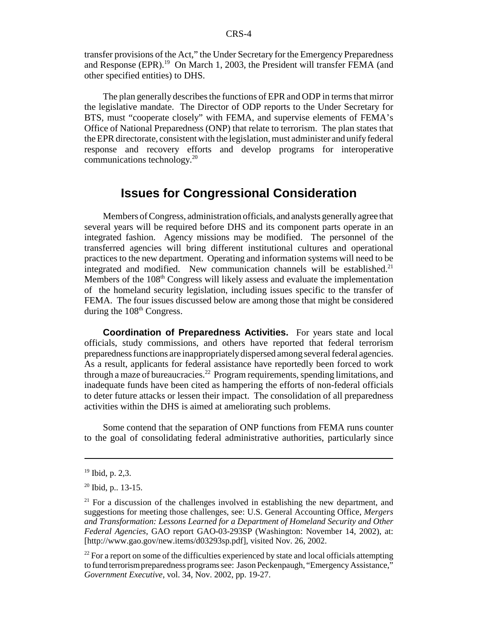transfer provisions of the Act," the Under Secretary for the Emergency Preparedness and Response (EPR).<sup>19</sup> On March 1, 2003, the President will transfer FEMA (and other specified entities) to DHS.

The plan generally describes the functions of EPR and ODP in terms that mirror the legislative mandate. The Director of ODP reports to the Under Secretary for BTS, must "cooperate closely" with FEMA, and supervise elements of FEMA's Office of National Preparedness (ONP) that relate to terrorism. The plan states that the EPR directorate, consistent with the legislation, must administer and unify federal response and recovery efforts and develop programs for interoperative communications technology.20

## **Issues for Congressional Consideration**

Members of Congress, administration officials, and analysts generally agree that several years will be required before DHS and its component parts operate in an integrated fashion. Agency missions may be modified. The personnel of the transferred agencies will bring different institutional cultures and operational practices to the new department. Operating and information systems will need to be integrated and modified. New communication channels will be established.<sup>21</sup> Members of the 108<sup>th</sup> Congress will likely assess and evaluate the implementation of the homeland security legislation, including issues specific to the transfer of FEMA. The four issues discussed below are among those that might be considered during the  $108<sup>th</sup>$  Congress.

**Coordination of Preparedness Activities.** For years state and local officials, study commissions, and others have reported that federal terrorism preparedness functions are inappropriately dispersed among several federal agencies. As a result, applicants for federal assistance have reportedly been forced to work through a maze of bureaucracies.<sup>22</sup> Program requirements, spending limitations, and inadequate funds have been cited as hampering the efforts of non-federal officials to deter future attacks or lessen their impact. The consolidation of all preparedness activities within the DHS is aimed at ameliorating such problems.

Some contend that the separation of ONP functions from FEMA runs counter to the goal of consolidating federal administrative authorities, particularly since

<sup>19</sup> Ibid, p. 2,3.

<sup>20</sup> Ibid, p.. 13-15.

 $21$  For a discussion of the challenges involved in establishing the new department, and suggestions for meeting those challenges, see: U.S. General Accounting Office, *Mergers and Transformation: Lessons Learned for a Department of Homeland Security and Other Federal Agencies*, GAO report GAO-03-293SP (Washington: November 14, 2002), at: [http://www.gao.gov/new.items/d03293sp.pdf], visited Nov. 26, 2002.

 $22$  For a report on some of the difficulties experienced by state and local officials attempting to fund terrorism preparedness programs see: Jason Peckenpaugh, "Emergency Assistance," *Government Executive*, vol. 34, Nov. 2002, pp. 19-27.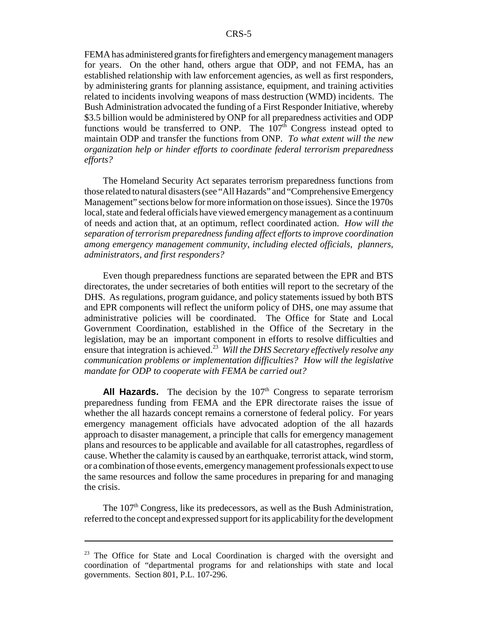FEMA has administered grants for firefighters and emergency management managers for years. On the other hand, others argue that ODP, and not FEMA, has an established relationship with law enforcement agencies, as well as first responders, by administering grants for planning assistance, equipment, and training activities related to incidents involving weapons of mass destruction (WMD) incidents. The Bush Administration advocated the funding of a First Responder Initiative, whereby \$3.5 billion would be administered by ONP for all preparedness activities and ODP functions would be transferred to ONP. The  $107<sup>th</sup>$  Congress instead opted to maintain ODP and transfer the functions from ONP. *To what extent will the new organization help or hinder efforts to coordinate federal terrorism preparedness efforts?*

The Homeland Security Act separates terrorism preparedness functions from those related to natural disasters (see "All Hazards" and "Comprehensive Emergency Management" sections below for more information on those issues). Since the 1970s local, state and federal officials have viewed emergency management as a continuum of needs and action that, at an optimum, reflect coordinated action. *How will the separation of terrorism preparedness funding affect efforts to improve coordination among emergency management community, including elected officials, planners, administrators, and first responders?* 

Even though preparedness functions are separated between the EPR and BTS directorates, the under secretaries of both entities will report to the secretary of the DHS. As regulations, program guidance, and policy statements issued by both BTS and EPR components will reflect the uniform policy of DHS, one may assume that administrative policies will be coordinated. The Office for State and Local Government Coordination, established in the Office of the Secretary in the legislation, may be an important component in efforts to resolve difficulties and ensure that integration is achieved.<sup>23</sup> *Will the DHS Secretary effectively resolve any communication problems or implementation difficulties? How will the legislative mandate for ODP to cooperate with FEMA be carried out?*

All Hazards. The decision by the 107<sup>th</sup> Congress to separate terrorism preparedness funding from FEMA and the EPR directorate raises the issue of whether the all hazards concept remains a cornerstone of federal policy. For years emergency management officials have advocated adoption of the all hazards approach to disaster management, a principle that calls for emergency management plans and resources to be applicable and available for all catastrophes, regardless of cause. Whether the calamity is caused by an earthquake, terrorist attack, wind storm, or a combination of those events, emergency management professionals expect to use the same resources and follow the same procedures in preparing for and managing the crisis.

The 107<sup>th</sup> Congress, like its predecessors, as well as the Bush Administration, referred to the concept and expressed support for its applicability for the development

<sup>&</sup>lt;sup>23</sup> The Office for State and Local Coordination is charged with the oversight and coordination of "departmental programs for and relationships with state and local governments. Section 801, P.L. 107-296.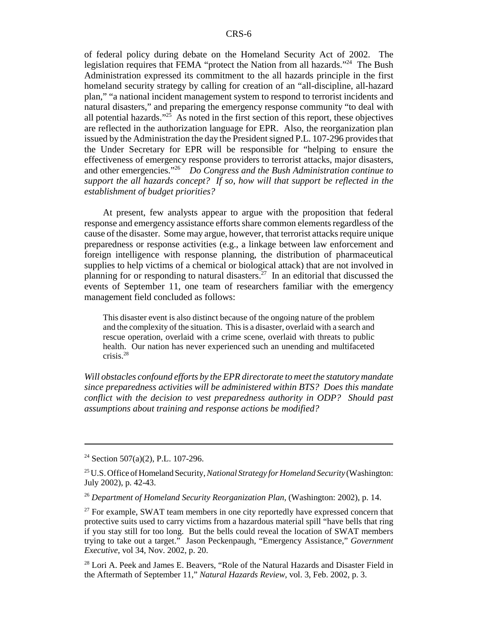of federal policy during debate on the Homeland Security Act of 2002. The legislation requires that FEMA "protect the Nation from all hazards."24 The Bush Administration expressed its commitment to the all hazards principle in the first homeland security strategy by calling for creation of an "all-discipline, all-hazard plan," "a national incident management system to respond to terrorist incidents and natural disasters," and preparing the emergency response community "to deal with all potential hazards." $25$  As noted in the first section of this report, these objectives are reflected in the authorization language for EPR. Also, the reorganization plan issued by the Administration the day the President signed P.L. 107-296 provides that the Under Secretary for EPR will be responsible for "helping to ensure the effectiveness of emergency response providers to terrorist attacks, major disasters, and other emergencies."26 *Do Congress and the Bush Administration continue to support the all hazards concept? If so, how will that support be reflected in the establishment of budget priorities?*

At present, few analysts appear to argue with the proposition that federal response and emergency assistance efforts share common elements regardless of the cause of the disaster. Some may argue, however, that terrorist attacks require unique preparedness or response activities (e.g., a linkage between law enforcement and foreign intelligence with response planning, the distribution of pharmaceutical supplies to help victims of a chemical or biological attack) that are not involved in planning for or responding to natural disasters.<sup>27</sup> In an editorial that discussed the events of September 11, one team of researchers familiar with the emergency management field concluded as follows:

This disaster event is also distinct because of the ongoing nature of the problem and the complexity of the situation. This is a disaster, overlaid with a search and rescue operation, overlaid with a crime scene, overlaid with threats to public health. Our nation has never experienced such an unending and multifaceted crisis.28

*Will obstacles confound efforts by the EPR directorate to meet the statutory mandate since preparedness activities will be administered within BTS? Does this mandate conflict with the decision to vest preparedness authority in ODP? Should past assumptions about training and response actions be modified?*

<sup>&</sup>lt;sup>24</sup> Section 507(a)(2), P.L. 107-296.

<sup>25</sup> U.S. Office of Homeland Security, *National Strategy for Homeland Security* (Washington: July 2002), p. 42-43.

<sup>26</sup> *Department of Homeland Security Reorganization Plan*, (Washington: 2002), p. 14.

 $27$  For example, SWAT team members in one city reportedly have expressed concern that protective suits used to carry victims from a hazardous material spill "have bells that ring if you stay still for too long. But the bells could reveal the location of SWAT members trying to take out a target." Jason Peckenpaugh, "Emergency Assistance," *Government Executive*, vol 34, Nov. 2002, p. 20.

<sup>&</sup>lt;sup>28</sup> Lori A. Peek and James E. Beavers, "Role of the Natural Hazards and Disaster Field in the Aftermath of September 11," *Natural Hazards Review*, vol. 3, Feb. 2002, p. 3.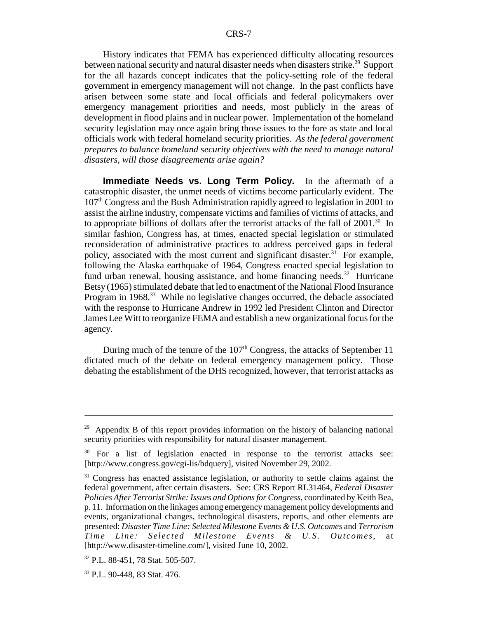History indicates that FEMA has experienced difficulty allocating resources between national security and natural disaster needs when disasters strike.<sup>29</sup> Support for the all hazards concept indicates that the policy-setting role of the federal government in emergency management will not change. In the past conflicts have arisen between some state and local officials and federal policymakers over emergency management priorities and needs, most publicly in the areas of development in flood plains and in nuclear power. Implementation of the homeland security legislation may once again bring those issues to the fore as state and local officials work with federal homeland security priorities. *As the federal government prepares to balance homeland security objectives with the need to manage natural disasters, will those disagreements arise again?* 

**Immediate Needs vs. Long Term Policy.** In the aftermath of a catastrophic disaster, the unmet needs of victims become particularly evident. The 107th Congress and the Bush Administration rapidly agreed to legislation in 2001 to assist the airline industry, compensate victims and families of victims of attacks, and to appropriate billions of dollars after the terrorist attacks of the fall of  $2001$ .<sup>30</sup> In similar fashion, Congress has, at times, enacted special legislation or stimulated reconsideration of administrative practices to address perceived gaps in federal policy, associated with the most current and significant disaster.<sup>31</sup> For example, following the Alaska earthquake of 1964, Congress enacted special legislation to fund urban renewal, housing assistance, and home financing needs.<sup>32</sup> Hurricane Betsy (1965) stimulated debate that led to enactment of the National Flood Insurance Program in 1968.<sup>33</sup> While no legislative changes occurred, the debacle associated with the response to Hurricane Andrew in 1992 led President Clinton and Director James Lee Witt to reorganize FEMA and establish a new organizational focus for the agency.

During much of the tenure of the  $107<sup>th</sup>$  Congress, the attacks of September 11 dictated much of the debate on federal emergency management policy. Those debating the establishment of the DHS recognized, however, that terrorist attacks as

 $29$  Appendix B of this report provides information on the history of balancing national security priorities with responsibility for natural disaster management.

 $30$  For a list of legislation enacted in response to the terrorist attacks see: [http://www.congress.gov/cgi-lis/bdquery], visited November 29, 2002.

 $31$  Congress has enacted assistance legislation, or authority to settle claims against the federal government, after certain disasters. See: CRS Report RL31464, *Federal Disaster Policies After Terrorist Strike: Issues and Options for Congress*, coordinated by Keith Bea, p. 11. Information on the linkages among emergency management policy developments and events, organizational changes, technological disasters, reports, and other elements are presented: *Disaster Time Line: Selected Milestone Events & U.S. Outcomes* and *Terrorism Time Line: Selected Milestone Events & U.S. Outcomes*, at [http://www.disaster-timeline.com/], visited June 10, 2002.

<sup>32</sup> P.L. 88-451, 78 Stat. 505-507.

<sup>33</sup> P.L. 90-448, 83 Stat. 476.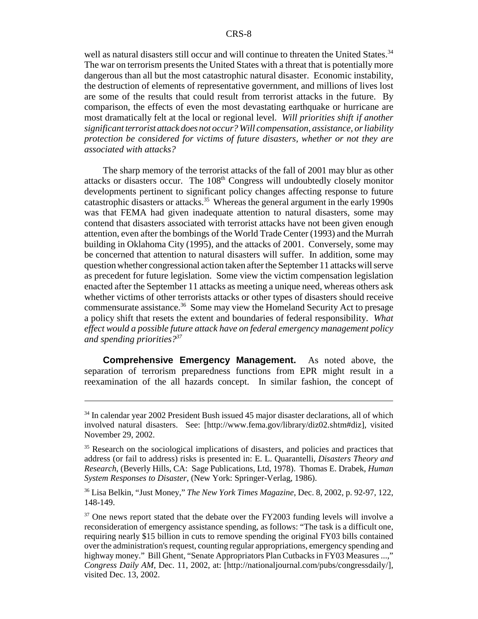well as natural disasters still occur and will continue to threaten the United States.<sup>34</sup> The war on terrorism presents the United States with a threat that is potentially more dangerous than all but the most catastrophic natural disaster. Economic instability, the destruction of elements of representative government, and millions of lives lost are some of the results that could result from terrorist attacks in the future. By comparison, the effects of even the most devastating earthquake or hurricane are most dramatically felt at the local or regional level. *Will priorities shift if another significant terrorist attack does not occur? Will compensation, assistance, or liability protection be considered for victims of future disasters, whether or not they are associated with attacks?*

The sharp memory of the terrorist attacks of the fall of 2001 may blur as other attacks or disasters occur. The  $108<sup>th</sup>$  Congress will undoubtedly closely monitor developments pertinent to significant policy changes affecting response to future catastrophic disasters or attacks.<sup>35</sup> Whereas the general argument in the early 1990s was that FEMA had given inadequate attention to natural disasters, some may contend that disasters associated with terrorist attacks have not been given enough attention, even after the bombings of the World Trade Center (1993) and the Murrah building in Oklahoma City (1995), and the attacks of 2001. Conversely, some may be concerned that attention to natural disasters will suffer. In addition, some may question whether congressional action taken after the September 11 attacks will serve as precedent for future legislation. Some view the victim compensation legislation enacted after the September 11 attacks as meeting a unique need, whereas others ask whether victims of other terrorists attacks or other types of disasters should receive commensurate assistance.<sup>36</sup> Some may view the Homeland Security Act to presage a policy shift that resets the extent and boundaries of federal responsibility. *What effect would a possible future attack have on federal emergency management policy and spending priorities?37*

**Comprehensive Emergency Management.** As noted above, the separation of terrorism preparedness functions from EPR might result in a reexamination of the all hazards concept. In similar fashion, the concept of

<sup>&</sup>lt;sup>34</sup> In calendar year 2002 President Bush issued 45 major disaster declarations, all of which involved natural disasters. See: [http://www.fema.gov/library/diz02.shtm#diz], visited November 29, 2002.

<sup>&</sup>lt;sup>35</sup> Research on the sociological implications of disasters, and policies and practices that address (or fail to address) risks is presented in: E. L. Quarantelli, *Disasters Theory and Research*, (Beverly Hills, CA: Sage Publications, Ltd, 1978). Thomas E. Drabek, *Human System Responses to Disaster*, (New York: Springer-Verlag, 1986).

<sup>36</sup> Lisa Belkin, "Just Money," *The New York Times Magazine*, Dec. 8, 2002, p. 92-97, 122, 148-149.

 $37$  One news report stated that the debate over the FY2003 funding levels will involve a reconsideration of emergency assistance spending, as follows: "The task is a difficult one, requiring nearly \$15 billion in cuts to remove spending the original FY03 bills contained over the administration's request, counting regular appropriations, emergency spending and highway money." Bill Ghent, "Senate Appropriators Plan Cutbacks in FY03 Measures ...," *Congress Daily AM*, Dec. 11, 2002, at: [http://nationaljournal.com/pubs/congressdaily/], visited Dec. 13, 2002.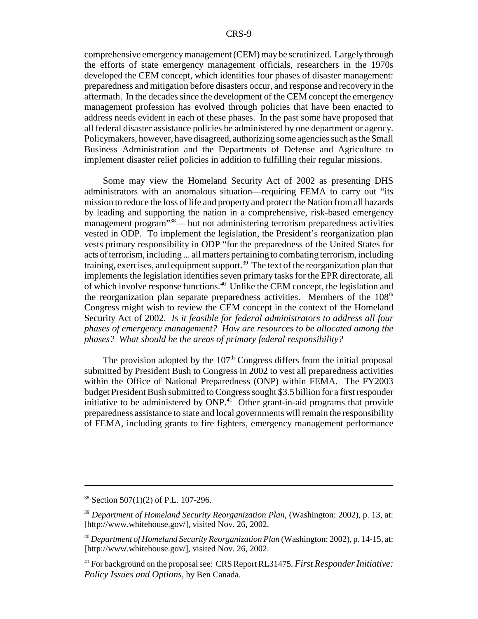comprehensive emergency management (CEM) may be scrutinized. Largely through the efforts of state emergency management officials, researchers in the 1970s developed the CEM concept, which identifies four phases of disaster management: preparedness and mitigation before disasters occur, and response and recovery in the aftermath. In the decades since the development of the CEM concept the emergency management profession has evolved through policies that have been enacted to address needs evident in each of these phases. In the past some have proposed that all federal disaster assistance policies be administered by one department or agency. Policymakers, however, have disagreed, authorizing some agencies such as the Small Business Administration and the Departments of Defense and Agriculture to implement disaster relief policies in addition to fulfilling their regular missions.

Some may view the Homeland Security Act of 2002 as presenting DHS administrators with an anomalous situation—requiring FEMA to carry out "its mission to reduce the loss of life and property and protect the Nation from all hazards by leading and supporting the nation in a comprehensive, risk-based emergency management program<sup>338</sup>— but not administering terrorism preparedness activities vested in ODP. To implement the legislation, the President's reorganization plan vests primary responsibility in ODP "for the preparedness of the United States for acts of terrorism, including ... all matters pertaining to combating terrorism, including training, exercises, and equipment support. $39$  The text of the reorganization plan that implements the legislation identifies seven primary tasks for the EPR directorate, all of which involve response functions.40 Unlike the CEM concept, the legislation and the reorganization plan separate preparedness activities. Members of the 108<sup>th</sup> Congress might wish to review the CEM concept in the context of the Homeland Security Act of 2002. *Is it feasible for federal administrators to address all four phases of emergency management? How are resources to be allocated among the phases? What should be the areas of primary federal responsibility?*

The provision adopted by the  $107<sup>th</sup>$  Congress differs from the initial proposal submitted by President Bush to Congress in 2002 to vest all preparedness activities within the Office of National Preparedness (ONP) within FEMA. The FY2003 budget President Bush submitted to Congress sought \$3.5 billion for a first responder initiative to be administered by  $ONP<sup>41</sup>$  Other grant-in-aid programs that provide preparedness assistance to state and local governments will remain the responsibility of FEMA, including grants to fire fighters, emergency management performance

<sup>&</sup>lt;sup>38</sup> Section 507(1)(2) of P.L. 107-296.

<sup>39</sup> *Department of Homeland Security Reorganization Plan*, (Washington: 2002), p. 13, at: [http://www.whitehouse.gov/], visited Nov. 26, 2002.

<sup>40</sup> *Department of Homeland Security Reorganization Plan* (Washington: 2002), p. 14-15, at: [http://www.whitehouse.gov/], visited Nov. 26, 2002.

<sup>41</sup> For background on the proposal see: CRS Report RL31475. *First Responder Initiative: Policy Issues and Options*, by Ben Canada.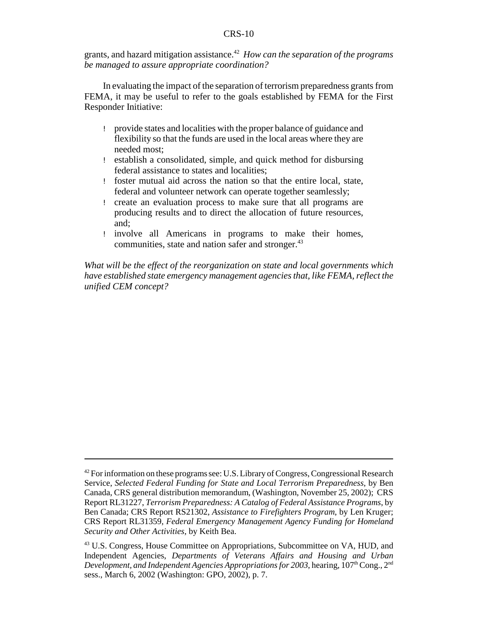grants, and hazard mitigation assistance.42 *How can the separation of the programs be managed to assure appropriate coordination?* 

In evaluating the impact of the separation of terrorism preparedness grants from FEMA, it may be useful to refer to the goals established by FEMA for the First Responder Initiative:

- ! provide states and localities with the proper balance of guidance and flexibility so that the funds are used in the local areas where they are needed most;
- ! establish a consolidated, simple, and quick method for disbursing federal assistance to states and localities;
- ! foster mutual aid across the nation so that the entire local, state, federal and volunteer network can operate together seamlessly;
- ! create an evaluation process to make sure that all programs are producing results and to direct the allocation of future resources, and;
- ! involve all Americans in programs to make their homes, communities, state and nation safer and stronger.<sup>43</sup>

*What will be the effect of the reorganization on state and local governments which have established state emergency management agencies that, like FEMA, reflect the unified CEM concept?*

<sup>&</sup>lt;sup>42</sup> For information on these programs see: U.S. Library of Congress, Congressional Research Service, *Selected Federal Funding for State and Local Terrorism Preparedness*, by Ben Canada, CRS general distribution memorandum, (Washington, November 25, 2002); CRS Report RL31227, *Terrorism Preparedness: A Catalog of Federal Assistance Programs*, by Ben Canada; CRS Report RS21302, *Assistance to Firefighters Program*, by Len Kruger; CRS Report RL31359, *Federal Emergency Management Agency Funding for Homeland Security and Other Activities*, by Keith Bea.

<sup>&</sup>lt;sup>43</sup> U.S. Congress, House Committee on Appropriations, Subcommittee on VA, HUD, and Independent Agencies, *Departments of Veterans Affairs and Housing and Urban Development, and Independent Agencies Appropriations for 2003, hearing, 107<sup>th</sup> Cong., 2<sup>nd</sup>* sess., March 6, 2002 (Washington: GPO, 2002), p. 7.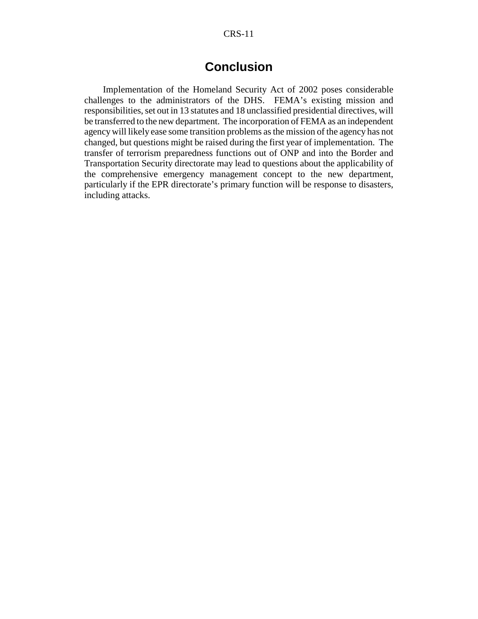# **Conclusion**

Implementation of the Homeland Security Act of 2002 poses considerable challenges to the administrators of the DHS. FEMA's existing mission and responsibilities, set out in 13 statutes and 18 unclassified presidential directives, will be transferred to the new department. The incorporation of FEMA as an independent agency will likely ease some transition problems as the mission of the agency has not changed, but questions might be raised during the first year of implementation. The transfer of terrorism preparedness functions out of ONP and into the Border and Transportation Security directorate may lead to questions about the applicability of the comprehensive emergency management concept to the new department, particularly if the EPR directorate's primary function will be response to disasters, including attacks.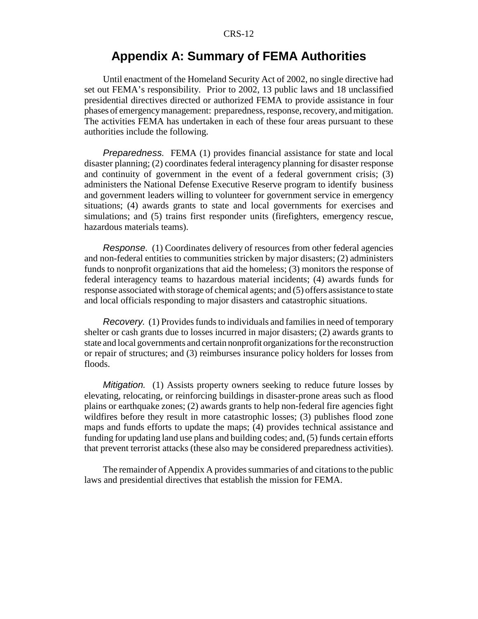## **Appendix A: Summary of FEMA Authorities**

Until enactment of the Homeland Security Act of 2002, no single directive had set out FEMA's responsibility. Prior to 2002, 13 public laws and 18 unclassified presidential directives directed or authorized FEMA to provide assistance in four phases of emergency management: preparedness, response, recovery, and mitigation. The activities FEMA has undertaken in each of these four areas pursuant to these authorities include the following.

Preparedness. FEMA (1) provides financial assistance for state and local disaster planning; (2) coordinates federal interagency planning for disaster response and continuity of government in the event of a federal government crisis; (3) administers the National Defense Executive Reserve program to identify business and government leaders willing to volunteer for government service in emergency situations; (4) awards grants to state and local governments for exercises and simulations; and (5) trains first responder units (firefighters, emergency rescue, hazardous materials teams).

Response. (1) Coordinates delivery of resources from other federal agencies and non-federal entities to communities stricken by major disasters; (2) administers funds to nonprofit organizations that aid the homeless; (3) monitors the response of federal interagency teams to hazardous material incidents; (4) awards funds for response associated with storage of chemical agents; and (5) offers assistance to state and local officials responding to major disasters and catastrophic situations.

Recovery. (1) Provides funds to individuals and families in need of temporary shelter or cash grants due to losses incurred in major disasters; (2) awards grants to state and local governments and certain nonprofit organizations for the reconstruction or repair of structures; and (3) reimburses insurance policy holders for losses from floods.

Mitigation. (1) Assists property owners seeking to reduce future losses by elevating, relocating, or reinforcing buildings in disaster-prone areas such as flood plains or earthquake zones; (2) awards grants to help non-federal fire agencies fight wildfires before they result in more catastrophic losses; (3) publishes flood zone maps and funds efforts to update the maps; (4) provides technical assistance and funding for updating land use plans and building codes; and, (5) funds certain efforts that prevent terrorist attacks (these also may be considered preparedness activities).

The remainder of Appendix A provides summaries of and citations to the public laws and presidential directives that establish the mission for FEMA.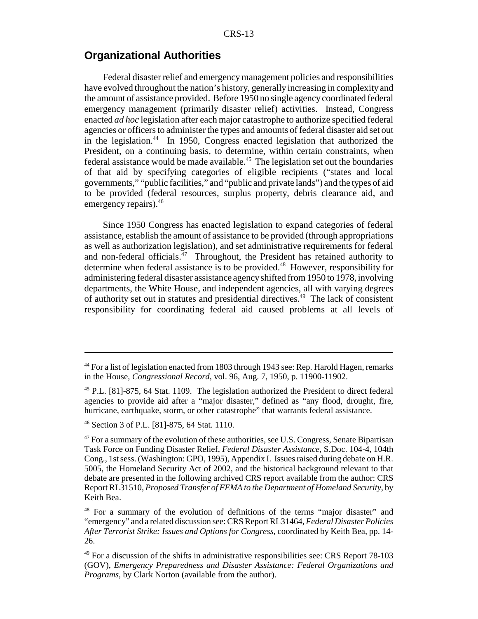## **Organizational Authorities**

Federal disaster relief and emergency management policies and responsibilities have evolved throughout the nation's history, generally increasing in complexity and the amount of assistance provided. Before 1950 no single agency coordinated federal emergency management (primarily disaster relief) activities. Instead, Congress enacted *ad hoc* legislation after each major catastrophe to authorize specified federal agencies or officers to administer the types and amounts of federal disaster aid set out in the legislation.<sup>44</sup> In 1950, Congress enacted legislation that authorized the President, on a continuing basis, to determine, within certain constraints, when federal assistance would be made available.<sup>45</sup> The legislation set out the boundaries of that aid by specifying categories of eligible recipients ("states and local governments," "public facilities," and "public and private lands") and the types of aid to be provided (federal resources, surplus property, debris clearance aid, and emergency repairs).<sup>46</sup>

Since 1950 Congress has enacted legislation to expand categories of federal assistance, establish the amount of assistance to be provided (through appropriations as well as authorization legislation), and set administrative requirements for federal and non-federal officials.<sup>47</sup> Throughout, the President has retained authority to determine when federal assistance is to be provided.<sup>48</sup> However, responsibility for administering federal disaster assistance agency shifted from 1950 to 1978, involving departments, the White House, and independent agencies, all with varying degrees of authority set out in statutes and presidential directives.49 The lack of consistent responsibility for coordinating federal aid caused problems at all levels of

<sup>&</sup>lt;sup>44</sup> For a list of legislation enacted from 1803 through 1943 see: Rep. Harold Hagen, remarks in the House, *Congressional Record*, vol. 96, Aug. 7, 1950, p. 11900-11902.

<sup>45</sup> P.L. [81]-875, 64 Stat. 1109. The legislation authorized the President to direct federal agencies to provide aid after a "major disaster," defined as "any flood, drought, fire, hurricane, earthquake, storm, or other catastrophe" that warrants federal assistance.

<sup>46</sup> Section 3 of P.L. [81]-875, 64 Stat. 1110.

 $47$  For a summary of the evolution of these authorities, see U.S. Congress, Senate Bipartisan Task Force on Funding Disaster Relief, *Federal Disaster Assistance,* S.Doc. 104-4, 104th Cong., 1st sess. (Washington: GPO, 1995), Appendix I. Issues raised during debate on H.R. 5005, the Homeland Security Act of 2002, and the historical background relevant to that debate are presented in the following archived CRS report available from the author: CRS Report RL31510, *Proposed Transfer of FEMA to the Department of Homeland Security*, by Keith Bea.

<sup>48</sup> For a summary of the evolution of definitions of the terms "major disaster" and "emergency" and a related discussion see: CRS Report RL31464, *Federal Disaster Policies After Terrorist Strike: Issues and Options for Congress*, coordinated by Keith Bea, pp. 14- 26.

 $49$  For a discussion of the shifts in administrative responsibilities see: CRS Report 78-103 (GOV), *Emergency Preparedness and Disaster Assistance: Federal Organizations and Programs*, by Clark Norton (available from the author).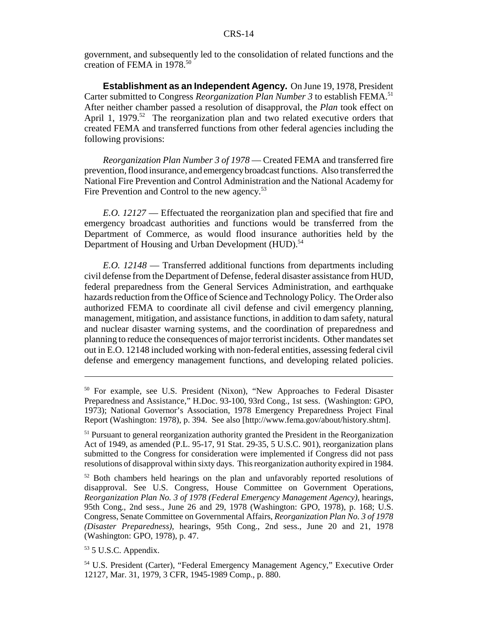government, and subsequently led to the consolidation of related functions and the creation of FEMA in 1978.50

**Establishment as an Independent Agency.** On June 19, 1978, President Carter submitted to Congress *Reorganization Plan Number 3* to establish FEMA.<sup>51</sup> After neither chamber passed a resolution of disapproval, the *Plan* took effect on April 1, 1979.<sup>52</sup> The reorganization plan and two related executive orders that created FEMA and transferred functions from other federal agencies including the following provisions:

*Reorganization Plan Number 3 of 1978* — Created FEMA and transferred fire prevention, flood insurance, and emergency broadcast functions. Also transferred the National Fire Prevention and Control Administration and the National Academy for Fire Prevention and Control to the new agency.<sup>53</sup>

*E.O. 12127* — Effectuated the reorganization plan and specified that fire and emergency broadcast authorities and functions would be transferred from the Department of Commerce, as would flood insurance authorities held by the Department of Housing and Urban Development (HUD).<sup>54</sup>

*E.O. 12148* — Transferred additional functions from departments including civil defense from the Department of Defense, federal disaster assistance from HUD, federal preparedness from the General Services Administration, and earthquake hazards reduction from the Office of Science and Technology Policy. The Order also authorized FEMA to coordinate all civil defense and civil emergency planning, management, mitigation, and assistance functions, in addition to dam safety, natural and nuclear disaster warning systems, and the coordination of preparedness and planning to reduce the consequences of major terrorist incidents. Other mandates set out in E.O. 12148 included working with non-federal entities, assessing federal civil defense and emergency management functions, and developing related policies.

53 5 U.S.C. Appendix.

<sup>50</sup> For example, see U.S. President (Nixon), "New Approaches to Federal Disaster Preparedness and Assistance," H.Doc. 93-100, 93rd Cong., 1st sess. (Washington: GPO, 1973); National Governor's Association, 1978 Emergency Preparedness Project Final Report (Washington: 1978), p. 394. See also [http://www.fema.gov/about/history.shtm].

<sup>&</sup>lt;sup>51</sup> Pursuant to general reorganization authority granted the President in the Reorganization Act of 1949, as amended (P.L. 95-17, 91 Stat. 29-35, 5 U.S.C. 901), reorganization plans submitted to the Congress for consideration were implemented if Congress did not pass resolutions of disapproval within sixty days. This reorganization authority expired in 1984.

<sup>&</sup>lt;sup>52</sup> Both chambers held hearings on the plan and unfavorably reported resolutions of disapproval. See U.S. Congress, House Committee on Government Operations, *Reorganization Plan No. 3 of 1978 (Federal Emergency Management Agency)*, hearings, 95th Cong., 2nd sess., June 26 and 29, 1978 (Washington: GPO, 1978), p. 168; U.S. Congress, Senate Committee on Governmental Affairs, *Reorganization Plan No. 3 of 1978 (Disaster Preparedness)*, hearings, 95th Cong., 2nd sess., June 20 and 21, 1978 (Washington: GPO, 1978), p. 47.

<sup>54</sup> U.S. President (Carter), "Federal Emergency Management Agency," Executive Order 12127, Mar. 31, 1979, 3 CFR, 1945-1989 Comp., p. 880.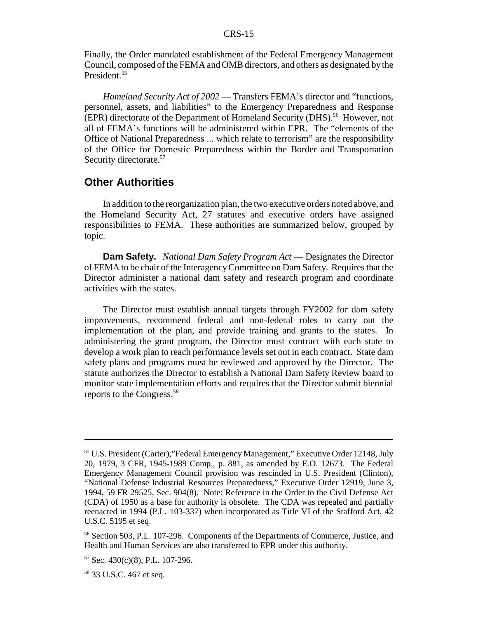Finally, the Order mandated establishment of the Federal Emergency Management Council, composed of the FEMA and OMB directors, and others as designated by the President.<sup>55</sup>

*Homeland Security Act of 2002* — Transfers FEMA's director and "functions, personnel, assets, and liabilities" to the Emergency Preparedness and Response (EPR) directorate of the Department of Homeland Security (DHS).<sup>56</sup> However, not all of FEMA's functions will be administered within EPR. The "elements of the Office of National Preparedness ... which relate to terrorism" are the responsibility of the Office for Domestic Preparedness within the Border and Transportation Security directorate.<sup>57</sup>

## **Other Authorities**

In addition to the reorganization plan, the two executive orders noted above, and the Homeland Security Act, 27 statutes and executive orders have assigned responsibilities to FEMA. These authorities are summarized below, grouped by topic.

**Dam Safety.** *National Dam Safety Program Act* — Designates the Director of FEMA to be chair of the Interagency Committee on Dam Safety. Requires that the Director administer a national dam safety and research program and coordinate activities with the states.

The Director must establish annual targets through FY2002 for dam safety improvements, recommend federal and non-federal roles to carry out the implementation of the plan, and provide training and grants to the states. In administering the grant program, the Director must contract with each state to develop a work plan to reach performance levels set out in each contract. State dam safety plans and programs must be reviewed and approved by the Director. The statute authorizes the Director to establish a National Dam Safety Review board to monitor state implementation efforts and requires that the Director submit biennial reports to the Congress.58

<sup>55</sup> U.S. President (Carter),"Federal Emergency Management," Executive Order 12148, July 20, 1979, 3 CFR, 1945-1989 Comp., p. 881, as amended by E.O. 12673. The Federal Emergency Management Council provision was rescinded in U.S. President (Clinton), "National Defense Industrial Resources Preparedness," Executive Order 12919, June 3, 1994, 59 FR 29525, Sec. 904(8). Note: Reference in the Order to the Civil Defense Act (CDA) of 1950 as a base for authority is obsolete. The CDA was repealed and partially reenacted in 1994 (P.L. 103-337) when incorporated as Title VI of the Stafford Act, 42 U.S.C. 5195 et seq.

<sup>56</sup> Section 503, P.L. 107-296. Components of the Departments of Commerce, Justice, and Health and Human Services are also transferred to EPR under this authority.

 $57$  Sec. 430(c)(8), P.L. 107-296.

<sup>&</sup>lt;sup>58</sup> 33 U.S.C. 467 et seq.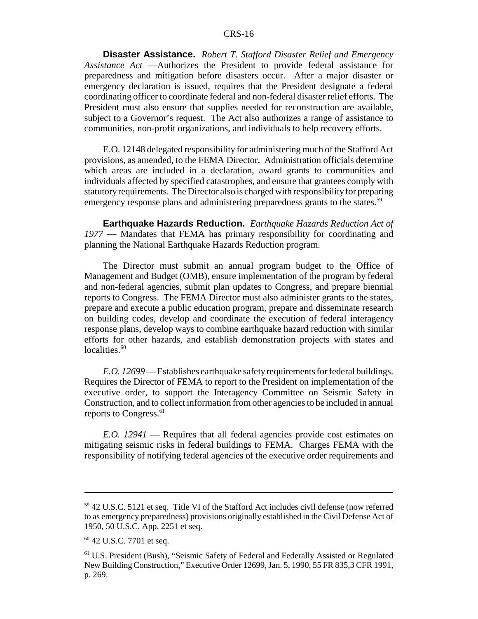**Disaster Assistance.** *Robert T. Stafford Disaster Relief and Emergency Assistance Act* —Authorizes the President to provide federal assistance for preparedness and mitigation before disasters occur. After a major disaster or emergency declaration is issued, requires that the President designate a federal coordinating officer to coordinate federal and non-federal disaster relief efforts. The President must also ensure that supplies needed for reconstruction are available, subject to a Governor's request. The Act also authorizes a range of assistance to communities, non-profit organizations, and individuals to help recovery efforts.

E.O. 12148 delegated responsibility for administering much of the Stafford Act provisions, as amended, to the FEMA Director. Administration officials determine which areas are included in a declaration, award grants to communities and individuals affected by specified catastrophes, and ensure that grantees comply with statutory requirements. The Director also is charged with responsibility for preparing emergency response plans and administering preparedness grants to the states.<sup>59</sup>

**Earthquake Hazards Reduction.** *Earthquake Hazards Reduction Act of 1977* — Mandates that FEMA has primary responsibility for coordinating and planning the National Earthquake Hazards Reduction program.

The Director must submit an annual program budget to the Office of Management and Budget (OMB), ensure implementation of the program by federal and non-federal agencies, submit plan updates to Congress, and prepare biennial reports to Congress. The FEMA Director must also administer grants to the states, prepare and execute a public education program, prepare and disseminate research on building codes, develop and coordinate the execution of federal interagency response plans, develop ways to combine earthquake hazard reduction with similar efforts for other hazards, and establish demonstration projects with states and localities.<sup>60</sup>

*E.O. 12699* — Establishes earthquake safety requirements for federal buildings. Requires the Director of FEMA to report to the President on implementation of the executive order, to support the Interagency Committee on Seismic Safety in Construction, and to collect information from other agencies to be included in annual reports to Congress.<sup>61</sup>

*E.O. 12941* — Requires that all federal agencies provide cost estimates on mitigating seismic risks in federal buildings to FEMA. Charges FEMA with the responsibility of notifying federal agencies of the executive order requirements and

<sup>59 42</sup> U.S.C. 5121 et seq. Title VI of the Stafford Act includes civil defense (now referred to as emergency preparedness) provisions originally established in the Civil Defense Act of 1950, 50 U.S.C. App. 2251 et seq.

<sup>&</sup>lt;sup>60</sup> 42 U.S.C. 7701 et seq.

<sup>61</sup> U.S. President (Bush), "Seismic Safety of Federal and Federally Assisted or Regulated New Building Construction," Executive Order 12699, Jan. 5, 1990, 55 FR 835,3 CFR 1991, p. 269.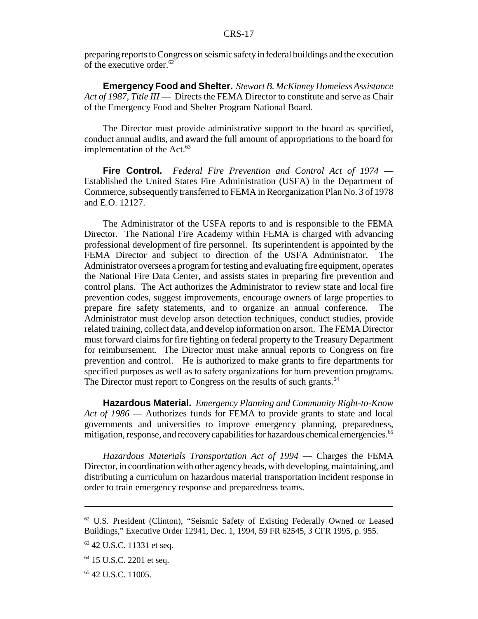preparing reports to Congress on seismic safety in federal buildings and the execution of the executive order.<sup>62</sup>

**Emergency Food and Shelter.** *Stewart B. McKinney Homeless Assistance Act of 1987, Title III* — Directs the FEMA Director to constitute and serve as Chair of the Emergency Food and Shelter Program National Board.

The Director must provide administrative support to the board as specified, conduct annual audits, and award the full amount of appropriations to the board for implementation of the  $Act.^{63}$ 

**Fire Control.** *Federal Fire Prevention and Control Act of 1974* — Established the United States Fire Administration (USFA) in the Department of Commerce, subsequently transferred to FEMA in Reorganization Plan No. 3 of 1978 and E.O. 12127.

The Administrator of the USFA reports to and is responsible to the FEMA Director. The National Fire Academy within FEMA is charged with advancing professional development of fire personnel. Its superintendent is appointed by the FEMA Director and subject to direction of the USFA Administrator. The Administrator oversees a program for testing and evaluating fire equipment, operates the National Fire Data Center, and assists states in preparing fire prevention and control plans. The Act authorizes the Administrator to review state and local fire prevention codes, suggest improvements, encourage owners of large properties to prepare fire safety statements, and to organize an annual conference. The Administrator must develop arson detection techniques, conduct studies, provide related training, collect data, and develop information on arson. The FEMA Director must forward claims for fire fighting on federal property to the Treasury Department for reimbursement. The Director must make annual reports to Congress on fire prevention and control. He is authorized to make grants to fire departments for specified purposes as well as to safety organizations for burn prevention programs. The Director must report to Congress on the results of such grants.<sup>64</sup>

**Hazardous Material.** *Emergency Planning and Community Right-to-Know Act of 1986* — Authorizes funds for FEMA to provide grants to state and local governments and universities to improve emergency planning, preparedness, mitigation, response, and recovery capabilities for hazardous chemical emergencies.<sup>65</sup>

*Hazardous Materials Transportation Act of 1994* — Charges the FEMA Director, in coordination with other agency heads, with developing, maintaining, and distributing a curriculum on hazardous material transportation incident response in order to train emergency response and preparedness teams.

<sup>62</sup> U.S. President (Clinton), "Seismic Safety of Existing Federally Owned or Leased Buildings," Executive Order 12941, Dec. 1, 1994, 59 FR 62545, 3 CFR 1995, p. 955.

<sup>&</sup>lt;sup>63</sup> 42 U.S.C. 11331 et seq.

<sup>&</sup>lt;sup>64</sup> 15 U.S.C. 2201 et seq.

<sup>65 42</sup> U.S.C. 11005.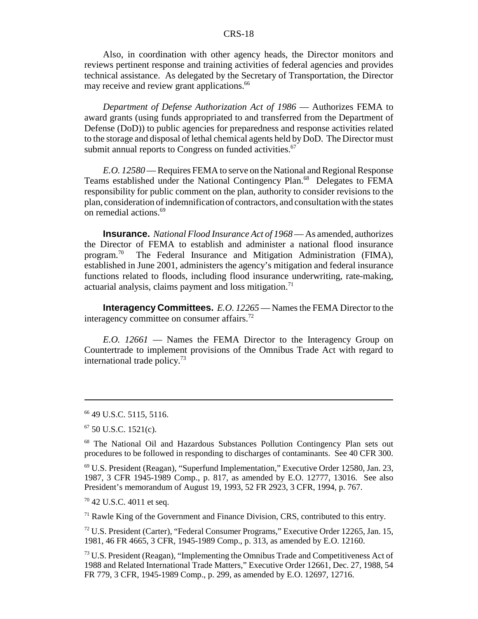Also, in coordination with other agency heads, the Director monitors and reviews pertinent response and training activities of federal agencies and provides technical assistance. As delegated by the Secretary of Transportation, the Director may receive and review grant applications.<sup>66</sup>

*Department of Defense Authorization Act of 1986* — Authorizes FEMA to award grants (using funds appropriated to and transferred from the Department of Defense (DoD)) to public agencies for preparedness and response activities related to the storage and disposal of lethal chemical agents held by DoD. The Director must submit annual reports to Congress on funded activities.<sup>67</sup>

*E.O. 12580* — Requires FEMA to serve on the National and Regional Response Teams established under the National Contingency Plan.<sup>68</sup> Delegates to FEMA responsibility for public comment on the plan, authority to consider revisions to the plan, consideration of indemnification of contractors, and consultation with the states on remedial actions.69

**Insurance.** *National Flood Insurance Act of 1968* — As amended, authorizes the Director of FEMA to establish and administer a national flood insurance program.70 The Federal Insurance and Mitigation Administration (FIMA), established in June 2001, administers the agency's mitigation and federal insurance functions related to floods, including flood insurance underwriting, rate-making, actuarial analysis, claims payment and loss mitigation.<sup>71</sup>

**Interagency Committees.** *E.O. 12265* — Names the FEMA Director to the interagency committee on consumer affairs.<sup>72</sup>

*E.O. 12661* — Names the FEMA Director to the Interagency Group on Countertrade to implement provisions of the Omnibus Trade Act with regard to international trade policy.<sup>73</sup>

 $69$  U.S. President (Reagan), "Superfund Implementation," Executive Order 12580, Jan. 23, 1987, 3 CFR 1945-1989 Comp., p. 817, as amended by E.O. 12777, 13016. See also President's memorandum of August 19, 1993, 52 FR 2923, 3 CFR, 1994, p. 767.

70 42 U.S.C. 4011 et seq.

<sup>71</sup> Rawle King of the Government and Finance Division, CRS, contributed to this entry.

72 U.S. President (Carter), "Federal Consumer Programs," Executive Order 12265, Jan. 15, 1981, 46 FR 4665, 3 CFR, 1945-1989 Comp., p. 313, as amended by E.O. 12160.

<sup>66 49</sup> U.S.C. 5115, 5116.

 $67$  50 U.S.C. 1521(c).

<sup>68</sup> The National Oil and Hazardous Substances Pollution Contingency Plan sets out procedures to be followed in responding to discharges of contaminants. See 40 CFR 300.

<sup>73</sup> U.S. President (Reagan), "Implementing the Omnibus Trade and Competitiveness Act of 1988 and Related International Trade Matters," Executive Order 12661, Dec. 27, 1988, 54 FR 779, 3 CFR, 1945-1989 Comp., p. 299, as amended by E.O. 12697, 12716.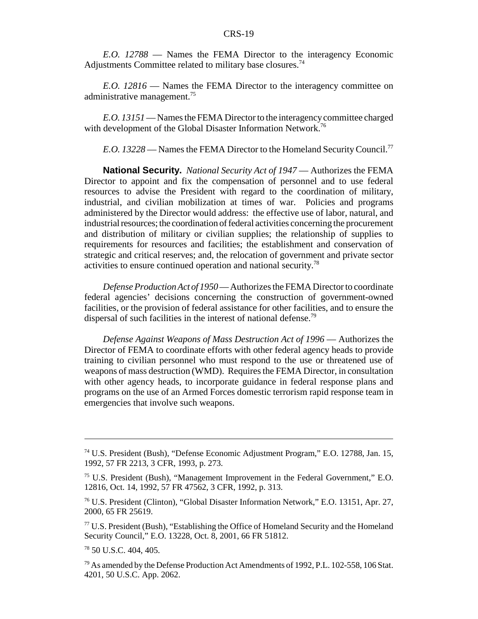*E.O. 12788* — Names the FEMA Director to the interagency Economic Adjustments Committee related to military base closures.<sup>74</sup>

*E.O. 12816* — Names the FEMA Director to the interagency committee on administrative management.<sup>75</sup>

*E.O. 13151* — Names the FEMA Director to the interagency committee charged with development of the Global Disaster Information Network.<sup>76</sup>

*E.O. 13228* — Names the FEMA Director to the Homeland Security Council.<sup>77</sup>

**National Security.** *National Security Act of 1947* — Authorizes the FEMA Director to appoint and fix the compensation of personnel and to use federal resources to advise the President with regard to the coordination of military, industrial, and civilian mobilization at times of war. Policies and programs administered by the Director would address: the effective use of labor, natural, and industrial resources; the coordination of federal activities concerning the procurement and distribution of military or civilian supplies; the relationship of supplies to requirements for resources and facilities; the establishment and conservation of strategic and critical reserves; and, the relocation of government and private sector activities to ensure continued operation and national security.<sup>78</sup>

*Defense Production Act of 1950* — Authorizes the FEMA Director to coordinate federal agencies' decisions concerning the construction of government-owned facilities, or the provision of federal assistance for other facilities, and to ensure the dispersal of such facilities in the interest of national defense.<sup>79</sup>

*Defense Against Weapons of Mass Destruction Act of 1996* — Authorizes the Director of FEMA to coordinate efforts with other federal agency heads to provide training to civilian personnel who must respond to the use or threatened use of weapons of mass destruction (WMD). Requires the FEMA Director, in consultation with other agency heads, to incorporate guidance in federal response plans and programs on the use of an Armed Forces domestic terrorism rapid response team in emergencies that involve such weapons.

<sup>74</sup> U.S. President (Bush), "Defense Economic Adjustment Program," E.O. 12788, Jan. 15, 1992, 57 FR 2213, 3 CFR, 1993, p. 273.

<sup>75</sup> U.S. President (Bush), "Management Improvement in the Federal Government," E.O. 12816, Oct. 14, 1992, 57 FR 47562, 3 CFR, 1992, p. 313.

<sup>76</sup> U.S. President (Clinton), "Global Disaster Information Network," E.O. 13151, Apr. 27, 2000, 65 FR 25619.

<sup>77</sup> U.S. President (Bush), "Establishing the Office of Homeland Security and the Homeland Security Council," E.O. 13228, Oct. 8, 2001, 66 FR 51812.

<sup>78 50</sup> U.S.C. 404, 405.

<sup>79</sup> As amended by the Defense Production Act Amendments of 1992, P.L. 102-558, 106 Stat. 4201, 50 U.S.C. App. 2062.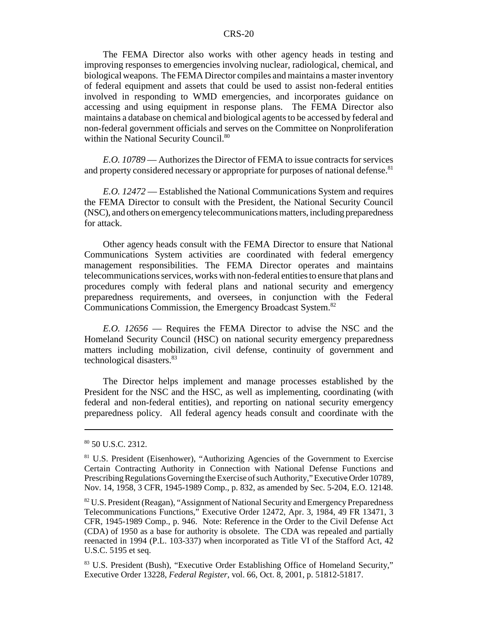The FEMA Director also works with other agency heads in testing and improving responses to emergencies involving nuclear, radiological, chemical, and biological weapons. The FEMA Director compiles and maintains a master inventory of federal equipment and assets that could be used to assist non-federal entities involved in responding to WMD emergencies, and incorporates guidance on accessing and using equipment in response plans. The FEMA Director also maintains a database on chemical and biological agents to be accessed by federal and non-federal government officials and serves on the Committee on Nonproliferation within the National Security Council.<sup>80</sup>

*E.O. 10789* — Authorizes the Director of FEMA to issue contracts for services and property considered necessary or appropriate for purposes of national defense.<sup>81</sup>

*E.O. 12472* — Established the National Communications System and requires the FEMA Director to consult with the President, the National Security Council (NSC), and others on emergency telecommunications matters, including preparedness for attack.

Other agency heads consult with the FEMA Director to ensure that National Communications System activities are coordinated with federal emergency management responsibilities. The FEMA Director operates and maintains telecommunications services, works with non-federal entities to ensure that plans and procedures comply with federal plans and national security and emergency preparedness requirements, and oversees, in conjunction with the Federal Communications Commission, the Emergency Broadcast System.<sup>82</sup>

*E.O. 12656* — Requires the FEMA Director to advise the NSC and the Homeland Security Council (HSC) on national security emergency preparedness matters including mobilization, civil defense, continuity of government and technological disasters.<sup>83</sup>

The Director helps implement and manage processes established by the President for the NSC and the HSC, as well as implementing, coordinating (with federal and non-federal entities), and reporting on national security emergency preparedness policy. All federal agency heads consult and coordinate with the

83 U.S. President (Bush), "Executive Order Establishing Office of Homeland Security," Executive Order 13228, *Federal Register*, vol. 66, Oct. 8, 2001, p. 51812-51817.

 $80$  50 U.S.C. 2312.

<sup>&</sup>lt;sup>81</sup> U.S. President (Eisenhower), "Authorizing Agencies of the Government to Exercise Certain Contracting Authority in Connection with National Defense Functions and Prescribing Regulations Governing the Exercise of such Authority," Executive Order 10789, Nov. 14, 1958, 3 CFR, 1945-1989 Comp., p. 832, as amended by Sec. 5-204, E.O. 12148.

<sup>&</sup>lt;sup>82</sup> U.S. President (Reagan), "Assignment of National Security and Emergency Preparedness Telecommunications Functions," Executive Order 12472, Apr. 3, 1984, 49 FR 13471, 3 CFR, 1945-1989 Comp., p. 946. Note: Reference in the Order to the Civil Defense Act (CDA) of 1950 as a base for authority is obsolete. The CDA was repealed and partially reenacted in 1994 (P.L. 103-337) when incorporated as Title VI of the Stafford Act, 42 U.S.C. 5195 et seq.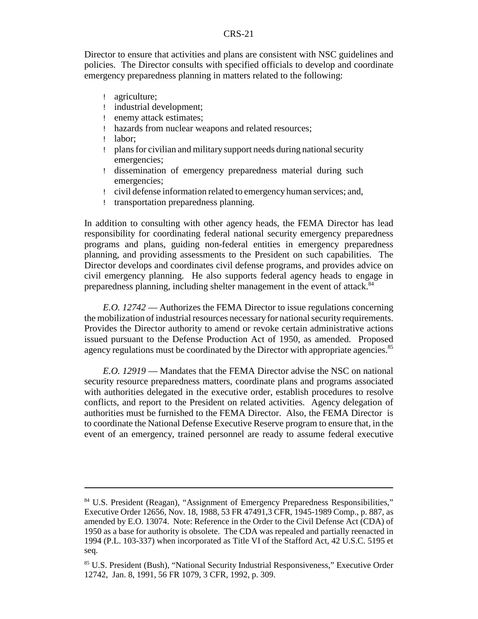Director to ensure that activities and plans are consistent with NSC guidelines and policies. The Director consults with specified officials to develop and coordinate emergency preparedness planning in matters related to the following:

- ! agriculture;
- ! industrial development;
- ! enemy attack estimates;
- ! hazards from nuclear weapons and related resources;
- ! labor;
- ! plans for civilian and military support needs during national security emergencies;
- ! dissemination of emergency preparedness material during such emergencies;
- ! civil defense information related to emergency human services; and,
- ! transportation preparedness planning.

In addition to consulting with other agency heads, the FEMA Director has lead responsibility for coordinating federal national security emergency preparedness programs and plans, guiding non-federal entities in emergency preparedness planning, and providing assessments to the President on such capabilities. The Director develops and coordinates civil defense programs, and provides advice on civil emergency planning. He also supports federal agency heads to engage in preparedness planning, including shelter management in the event of attack.<sup>84</sup>

*E.O. 12742* — Authorizes the FEMA Director to issue regulations concerning the mobilization of industrial resources necessary for national security requirements. Provides the Director authority to amend or revoke certain administrative actions issued pursuant to the Defense Production Act of 1950, as amended. Proposed agency regulations must be coordinated by the Director with appropriate agencies.<sup>85</sup>

*E.O. 12919* — Mandates that the FEMA Director advise the NSC on national security resource preparedness matters, coordinate plans and programs associated with authorities delegated in the executive order, establish procedures to resolve conflicts, and report to the President on related activities. Agency delegation of authorities must be furnished to the FEMA Director. Also, the FEMA Director is to coordinate the National Defense Executive Reserve program to ensure that, in the event of an emergency, trained personnel are ready to assume federal executive

<sup>84</sup> U.S. President (Reagan), "Assignment of Emergency Preparedness Responsibilities," Executive Order 12656, Nov. 18, 1988, 53 FR 47491,3 CFR, 1945-1989 Comp., p. 887, as amended by E.O. 13074. Note: Reference in the Order to the Civil Defense Act (CDA) of 1950 as a base for authority is obsolete. The CDA was repealed and partially reenacted in 1994 (P.L. 103-337) when incorporated as Title VI of the Stafford Act, 42 U.S.C. 5195 et seq.

<sup>85</sup> U.S. President (Bush), "National Security Industrial Responsiveness," Executive Order 12742, Jan. 8, 1991, 56 FR 1079, 3 CFR, 1992, p. 309.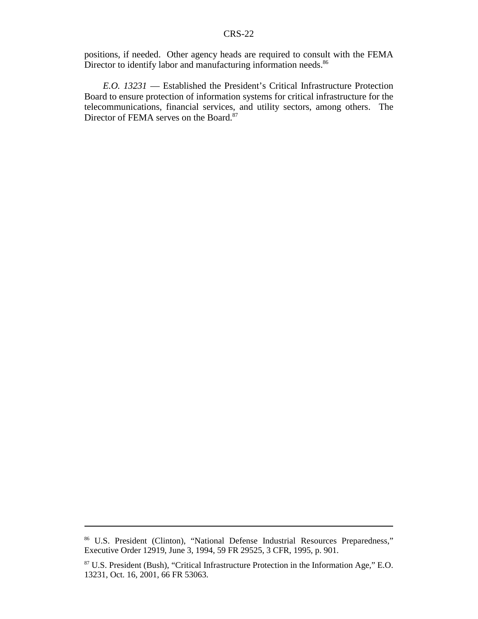positions, if needed. Other agency heads are required to consult with the FEMA Director to identify labor and manufacturing information needs.<sup>86</sup>

*E.O. 13231* — Established the President's Critical Infrastructure Protection Board to ensure protection of information systems for critical infrastructure for the telecommunications, financial services, and utility sectors, among others. The Director of FEMA serves on the Board.<sup>87</sup>

<sup>86</sup> U.S. President (Clinton), "National Defense Industrial Resources Preparedness," Executive Order 12919, June 3, 1994, 59 FR 29525, 3 CFR, 1995, p. 901.

<sup>87</sup> U.S. President (Bush), "Critical Infrastructure Protection in the Information Age," E.O. 13231, Oct. 16, 2001, 66 FR 53063.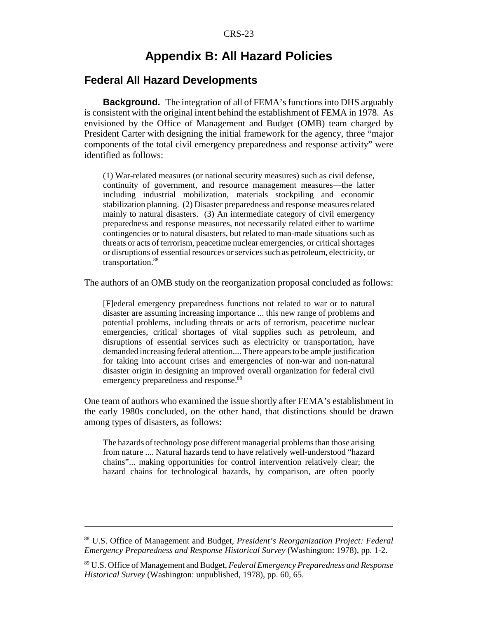# **Appendix B: All Hazard Policies**

## **Federal All Hazard Developments**

**Background.** The integration of all of FEMA's functions into DHS arguably is consistent with the original intent behind the establishment of FEMA in 1978. As envisioned by the Office of Management and Budget (OMB) team charged by President Carter with designing the initial framework for the agency, three "major components of the total civil emergency preparedness and response activity" were identified as follows:

(1) War-related measures (or national security measures) such as civil defense, continuity of government, and resource management measures—the latter including industrial mobilization, materials stockpiling and economic stabilization planning. (2) Disaster preparedness and response measures related mainly to natural disasters. (3) An intermediate category of civil emergency preparedness and response measures, not necessarily related either to wartime contingencies or to natural disasters, but related to man-made situations such as threats or acts of terrorism, peacetime nuclear emergencies, or critical shortages or disruptions of essential resources or services such as petroleum, electricity, or transportation.<sup>88</sup>

The authors of an OMB study on the reorganization proposal concluded as follows:

[F]ederal emergency preparedness functions not related to war or to natural disaster are assuming increasing importance ... this new range of problems and potential problems, including threats or acts of terrorism, peacetime nuclear emergencies, critical shortages of vital supplies such as petroleum, and disruptions of essential services such as electricity or transportation, have demanded increasing federal attention.... There appears to be ample justification for taking into account crises and emergencies of non-war and non-natural disaster origin in designing an improved overall organization for federal civil emergency preparedness and response.<sup>89</sup>

One team of authors who examined the issue shortly after FEMA's establishment in the early 1980s concluded, on the other hand, that distinctions should be drawn among types of disasters, as follows:

The hazards of technology pose different managerial problems than those arising from nature .... Natural hazards tend to have relatively well-understood "hazard chains"... making opportunities for control intervention relatively clear; the hazard chains for technological hazards, by comparison, are often poorly

<sup>88</sup> U.S. Office of Management and Budget, *President's Reorganization Project: Federal Emergency Preparedness and Response Historical Survey* (Washington: 1978), pp. 1-2.

<sup>89</sup> U.S. Office of Management and Budget, *Federal Emergency Preparedness and Response Historical Survey* (Washington: unpublished, 1978), pp. 60, 65.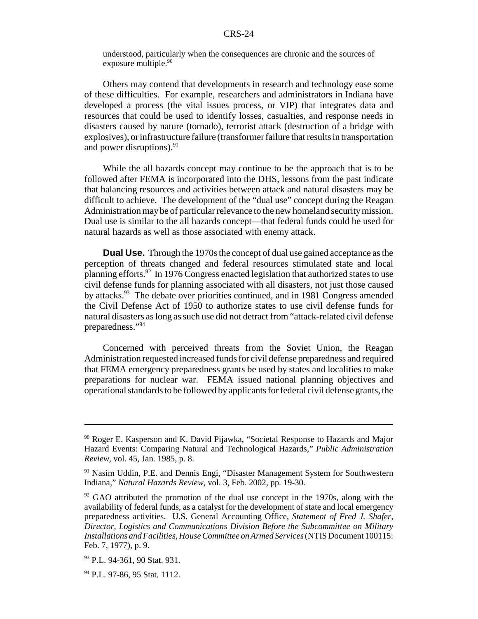understood, particularly when the consequences are chronic and the sources of exposure multiple.<sup>90</sup>

Others may contend that developments in research and technology ease some of these difficulties. For example, researchers and administrators in Indiana have developed a process (the vital issues process, or VIP) that integrates data and resources that could be used to identify losses, casualties, and response needs in disasters caused by nature (tornado), terrorist attack (destruction of a bridge with explosives), or infrastructure failure (transformer failure that results in transportation and power disruptions). $91$ 

While the all hazards concept may continue to be the approach that is to be followed after FEMA is incorporated into the DHS, lessons from the past indicate that balancing resources and activities between attack and natural disasters may be difficult to achieve. The development of the "dual use" concept during the Reagan Administration may be of particular relevance to the new homeland security mission. Dual use is similar to the all hazards concept—that federal funds could be used for natural hazards as well as those associated with enemy attack.

**Dual Use.** Through the 1970s the concept of dual use gained acceptance as the perception of threats changed and federal resources stimulated state and local planning efforts.92 In 1976 Congress enacted legislation that authorized states to use civil defense funds for planning associated with all disasters, not just those caused by attacks.<sup>93</sup> The debate over priorities continued, and in 1981 Congress amended the Civil Defense Act of 1950 to authorize states to use civil defense funds for natural disasters as long as such use did not detract from "attack-related civil defense preparedness."94

Concerned with perceived threats from the Soviet Union, the Reagan Administration requested increased funds for civil defense preparedness and required that FEMA emergency preparedness grants be used by states and localities to make preparations for nuclear war. FEMA issued national planning objectives and operational standards to be followed by applicants for federal civil defense grants, the

<sup>&</sup>lt;sup>90</sup> Roger E. Kasperson and K. David Pijawka, "Societal Response to Hazards and Major Hazard Events: Comparing Natural and Technological Hazards," *Public Administration Review*, vol. 45, Jan. 1985, p. 8.

<sup>&</sup>lt;sup>91</sup> Nasim Uddin, P.E. and Dennis Engi, "Disaster Management System for Southwestern Indiana," *Natural Hazards Review*, vol. 3, Feb. 2002, pp. 19-30.

 $92$  GAO attributed the promotion of the dual use concept in the 1970s, along with the availability of federal funds, as a catalyst for the development of state and local emergency preparedness activities. U.S. General Accounting Office, *Statement of Fred J. Shafer, Director, Logistics and Communications Division Before the Subcommittee on Military Installations and Facilities, House Committee on Armed Services* (NTIS Document 100115: Feb. 7, 1977), p. 9.

<sup>93</sup> P.L. 94-361, 90 Stat. 931.

 $94$  P.L. 97-86, 95 Stat. 1112.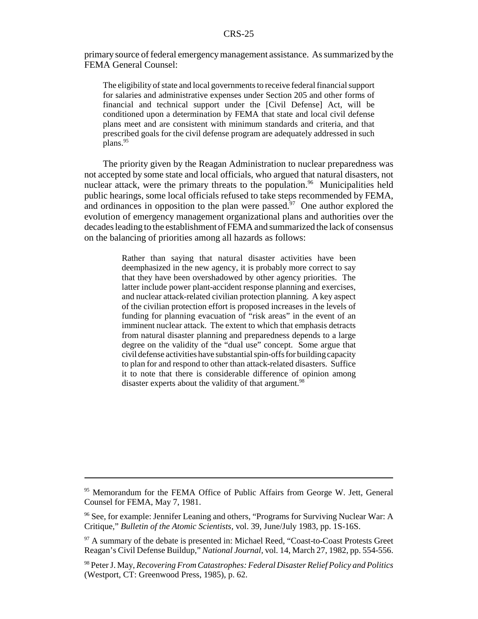primary source of federal emergency management assistance. As summarized by the FEMA General Counsel:

The eligibility of state and local governments to receive federal financial support for salaries and administrative expenses under Section 205 and other forms of financial and technical support under the [Civil Defense] Act, will be conditioned upon a determination by FEMA that state and local civil defense plans meet and are consistent with minimum standards and criteria, and that prescribed goals for the civil defense program are adequately addressed in such plans.95

The priority given by the Reagan Administration to nuclear preparedness was not accepted by some state and local officials, who argued that natural disasters, not nuclear attack, were the primary threats to the population.<sup>96</sup> Municipalities held public hearings, some local officials refused to take steps recommended by FEMA, and ordinances in opposition to the plan were passed.<sup>97</sup> One author explored the evolution of emergency management organizational plans and authorities over the decades leading to the establishment of FEMA and summarized the lack of consensus on the balancing of priorities among all hazards as follows:

> Rather than saying that natural disaster activities have been deemphasized in the new agency, it is probably more correct to say that they have been overshadowed by other agency priorities. The latter include power plant-accident response planning and exercises, and nuclear attack-related civilian protection planning. A key aspect of the civilian protection effort is proposed increases in the levels of funding for planning evacuation of "risk areas" in the event of an imminent nuclear attack. The extent to which that emphasis detracts from natural disaster planning and preparedness depends to a large degree on the validity of the "dual use" concept. Some argue that civil defense activities have substantial spin-offs for building capacity to plan for and respond to other than attack-related disasters. Suffice it to note that there is considerable difference of opinion among disaster experts about the validity of that argument.<sup>98</sup>

<sup>&</sup>lt;sup>95</sup> Memorandum for the FEMA Office of Public Affairs from George W. Jett, General Counsel for FEMA, May 7, 1981.

<sup>96</sup> See, for example: Jennifer Leaning and others, "Programs for Surviving Nuclear War: A Critique," *Bulletin of the Atomic Scientists*, vol. 39, June/July 1983, pp. 1S-16S.

<sup>&</sup>lt;sup>97</sup> A summary of the debate is presented in: Michael Reed, "Coast-to-Coast Protests Greet Reagan's Civil Defense Buildup," *National Journal*, vol. 14, March 27, 1982, pp. 554-556.

<sup>98</sup> Peter J. May, *Recovering From Catastrophes: Federal Disaster Relief Policy and Politics* (Westport, CT: Greenwood Press, 1985), p. 62.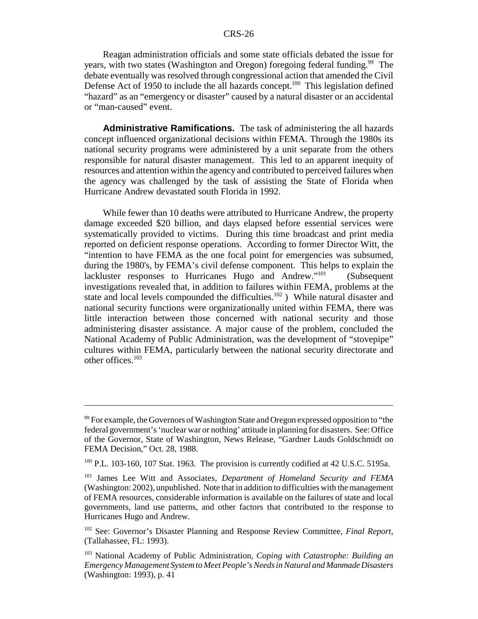Reagan administration officials and some state officials debated the issue for years, with two states (Washington and Oregon) foregoing federal funding.<sup>99</sup> The debate eventually was resolved through congressional action that amended the Civil Defense Act of 1950 to include the all hazards concept.<sup>100</sup> This legislation defined "hazard" as an "emergency or disaster" caused by a natural disaster or an accidental or "man-caused" event.

**Administrative Ramifications.** The task of administering the all hazards concept influenced organizational decisions within FEMA. Through the 1980s its national security programs were administered by a unit separate from the others responsible for natural disaster management. This led to an apparent inequity of resources and attention within the agency and contributed to perceived failures when the agency was challenged by the task of assisting the State of Florida when Hurricane Andrew devastated south Florida in 1992.

While fewer than 10 deaths were attributed to Hurricane Andrew, the property damage exceeded \$20 billion, and days elapsed before essential services were systematically provided to victims. During this time broadcast and print media reported on deficient response operations. According to former Director Witt, the "intention to have FEMA as the one focal point for emergencies was subsumed, during the 1980's, by FEMA's civil defense component. This helps to explain the lackluster responses to Hurricanes Hugo and Andrew."<sup>101</sup> (Subsequent investigations revealed that, in addition to failures within FEMA, problems at the state and local levels compounded the difficulties.<sup>102</sup>) While natural disaster and national security functions were organizationally united within FEMA, there was little interaction between those concerned with national security and those administering disaster assistance. A major cause of the problem, concluded the National Academy of Public Administration, was the development of "stovepipe" cultures within FEMA, particularly between the national security directorate and other offices.103

<sup>&</sup>lt;sup>99</sup> For example, the Governors of Washington State and Oregon expressed opposition to "the federal government's 'nuclear war or nothing' attitude in planning for disasters. See: Office of the Governor, State of Washington, News Release, "Gardner Lauds Goldschmidt on FEMA Decision," Oct. 28, 1988.

 $100$  P.L. 103-160, 107 Stat. 1963. The provision is currently codified at 42 U.S.C. 5195a.

<sup>101</sup> James Lee Witt and Associates, *Department of Homeland Security and FEMA* (Washington: 2002), unpublished. Note that in addition to difficulties with the management of FEMA resources, considerable information is available on the failures of state and local governments, land use patterns, and other factors that contributed to the response to Hurricanes Hugo and Andrew.

<sup>102</sup> See: Governor's Disaster Planning and Response Review Committee, *Final Report*, (Tallahassee, FL: 1993).

<sup>103</sup> National Academy of Public Administration, *Coping with Catastrophe: Building an Emergency Management System to Meet People's Needs in Natural and Manmade Disasters* (Washington: 1993), p. 41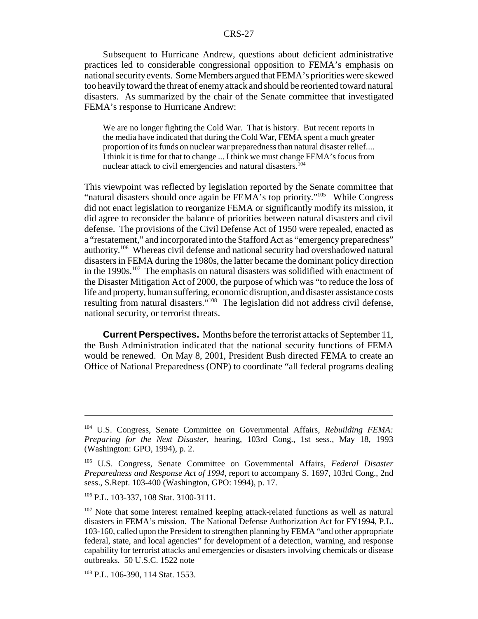Subsequent to Hurricane Andrew, questions about deficient administrative practices led to considerable congressional opposition to FEMA's emphasis on national security events. Some Members argued that FEMA's priorities were skewed too heavily toward the threat of enemy attack and should be reoriented toward natural disasters. As summarized by the chair of the Senate committee that investigated FEMA's response to Hurricane Andrew:

We are no longer fighting the Cold War. That is history. But recent reports in the media have indicated that during the Cold War, FEMA spent a much greater proportion of its funds on nuclear war preparedness than natural disaster relief.... I think it is time for that to change ... I think we must change FEMA's focus from nuclear attack to civil emergencies and natural disasters.<sup>104</sup>

This viewpoint was reflected by legislation reported by the Senate committee that "natural disasters should once again be FEMA's top priority."105 While Congress did not enact legislation to reorganize FEMA or significantly modify its mission, it did agree to reconsider the balance of priorities between natural disasters and civil defense. The provisions of the Civil Defense Act of 1950 were repealed, enacted as a "restatement," and incorporated into the Stafford Act as "emergency preparedness" authority.106 Whereas civil defense and national security had overshadowed natural disasters in FEMA during the 1980s, the latter became the dominant policy direction in the  $1990s$ .<sup>107</sup> The emphasis on natural disasters was solidified with enactment of the Disaster Mitigation Act of 2000, the purpose of which was "to reduce the loss of life and property, human suffering, economic disruption, and disaster assistance costs resulting from natural disasters."108 The legislation did not address civil defense, national security, or terrorist threats.

**Current Perspectives.** Months before the terrorist attacks of September 11, the Bush Administration indicated that the national security functions of FEMA would be renewed. On May 8, 2001, President Bush directed FEMA to create an Office of National Preparedness (ONP) to coordinate "all federal programs dealing

<sup>104</sup> U.S. Congress, Senate Committee on Governmental Affairs, *Rebuilding FEMA: Preparing for the Next Disaster,* hearing, 103rd Cong., 1st sess., May 18, 1993 (Washington: GPO, 1994), p. 2.

<sup>105</sup> U.S. Congress, Senate Committee on Governmental Affairs, *Federal Disaster Preparedness and Response Act of 1994*, report to accompany S. 1697, 103rd Cong., 2nd sess., S.Rept. 103-400 (Washington, GPO: 1994), p. 17.

<sup>106</sup> P.L. 103-337, 108 Stat. 3100-3111.

<sup>&</sup>lt;sup>107</sup> Note that some interest remained keeping attack-related functions as well as natural disasters in FEMA's mission. The National Defense Authorization Act for FY1994, P.L. 103-160, called upon the President to strengthen planning by FEMA "and other appropriate federal, state, and local agencies" for development of a detection, warning, and response capability for terrorist attacks and emergencies or disasters involving chemicals or disease outbreaks. 50 U.S.C. 1522 note

<sup>108</sup> P.L. 106-390, 114 Stat. 1553.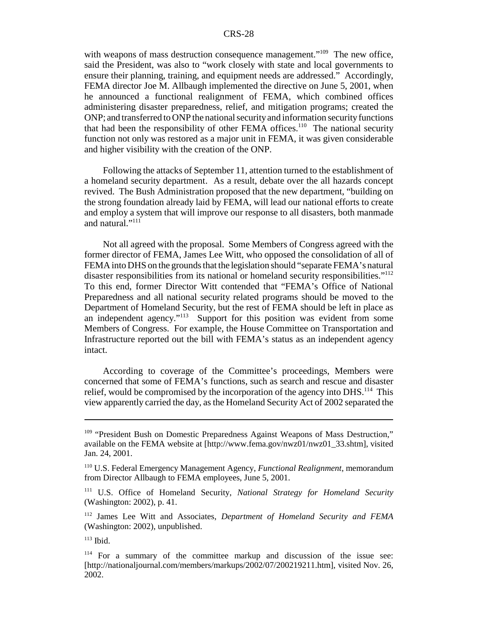with weapons of mass destruction consequence management."<sup>109</sup> The new office, said the President, was also to "work closely with state and local governments to ensure their planning, training, and equipment needs are addressed." Accordingly, FEMA director Joe M. Allbaugh implemented the directive on June 5, 2001, when he announced a functional realignment of FEMA, which combined offices administering disaster preparedness, relief, and mitigation programs; created the ONP; and transferred to ONP the national security and information security functions that had been the responsibility of other FEMA offices.<sup>110</sup> The national security function not only was restored as a major unit in FEMA, it was given considerable and higher visibility with the creation of the ONP.

Following the attacks of September 11, attention turned to the establishment of a homeland security department. As a result, debate over the all hazards concept revived. The Bush Administration proposed that the new department, "building on the strong foundation already laid by FEMA, will lead our national efforts to create and employ a system that will improve our response to all disasters, both manmade and natural."<sup>111</sup>

Not all agreed with the proposal. Some Members of Congress agreed with the former director of FEMA, James Lee Witt, who opposed the consolidation of all of FEMA into DHS on the grounds that the legislation should "separate FEMA's natural disaster responsibilities from its national or homeland security responsibilities."<sup>112</sup> To this end, former Director Witt contended that "FEMA's Office of National Preparedness and all national security related programs should be moved to the Department of Homeland Security, but the rest of FEMA should be left in place as an independent agency."<sup>113</sup> Support for this position was evident from some Members of Congress. For example, the House Committee on Transportation and Infrastructure reported out the bill with FEMA's status as an independent agency intact.

According to coverage of the Committee's proceedings, Members were concerned that some of FEMA's functions, such as search and rescue and disaster relief, would be compromised by the incorporation of the agency into DHS.<sup>114</sup> This view apparently carried the day, as the Homeland Security Act of 2002 separated the

112 James Lee Witt and Associates, *Department of Homeland Security and FEMA* (Washington: 2002), unpublished.

<sup>&</sup>lt;sup>109</sup> "President Bush on Domestic Preparedness Against Weapons of Mass Destruction," available on the FEMA website at [http://www.fema.gov/nwz01/nwz01\_33.shtm], visited Jan. 24, 2001.

<sup>110</sup> U.S. Federal Emergency Management Agency, *Functional Realignment*, memorandum from Director Allbaugh to FEMA employees, June 5, 2001.

<sup>111</sup> U.S. Office of Homeland Security, *National Strategy for Homeland Security* (Washington: 2002), p. 41.

<sup>113</sup> Ibid.

<sup>&</sup>lt;sup>114</sup> For a summary of the committee markup and discussion of the issue see: [http://nationaljournal.com/members/markups/2002/07/200219211.htm], visited Nov. 26, 2002.